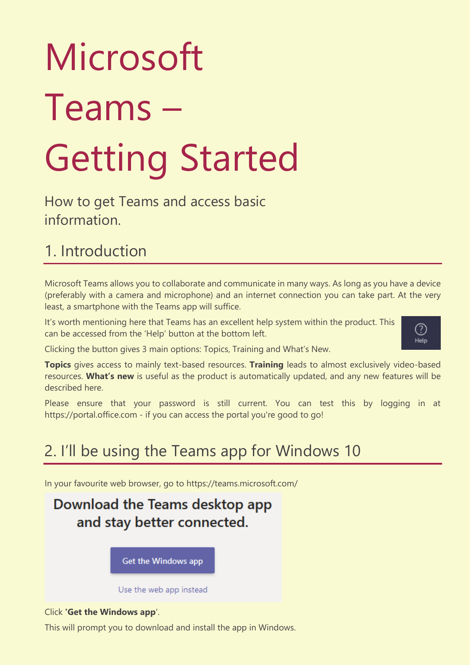# Microsoft Teams – Getting Started

How to get Teams and access basic information.

## 1. Introduction

Microsoft Teams allows you to collaborate and communicate in many ways. As long as you have a device (preferably with a camera and microphone) and an internet connection you can take part. At the very least, a smartphone with the Teams app will suffice.

It's worth mentioning here that Teams has an excellent help system within the product. This can be accessed from the 'Help' button at the bottom left.



Clicking the button gives 3 main options: Topics, Training and What's New.

**Topics** gives access to mainly text-based resources. **Training** leads to almost exclusively video-based resources. **What's new** is useful as the product is automatically updated, and any new features will be described here.

Please ensure that your password is still current. You can test this by logging in at [https://portal.office.com](https://portal.office.com/) - if you can access the portal you're good to go!

## 2. I'll be using the Teams app for Windows 10

In your favourite web browser, go to<https://teams.microsoft.com/>

Download the Teams desktop app and stay better connected.

Get the Windows app

Use the web app instead

#### Click **'Get the Windows app**'.

This will prompt you to download and install the app in Windows.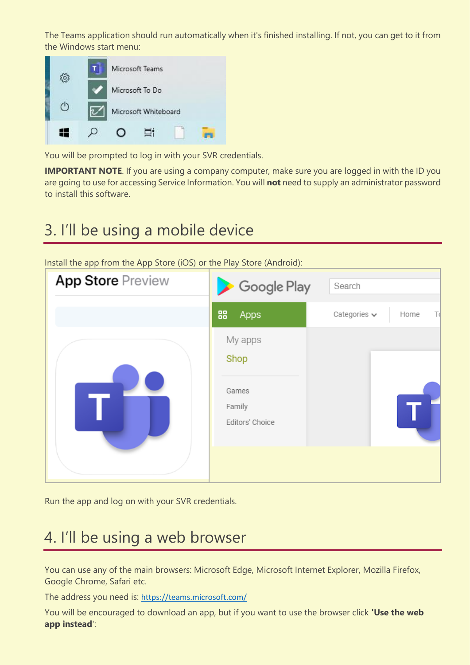The Teams application should run automatically when it's finished installing. If not, you can get to it from the Windows start menu:



You will be prompted to log in with your SVR credentials.

**IMPORTANT NOTE**. If you are using a company computer, make sure you are logged in with the ID you are going to use for accessing Service Information. You will **not** need to supply an administrator password to install this software.

## 3. I'll be using a mobile device

Install the app from the App Store (iOS) or the Play Store (Android):



Run the app and log on with your SVR credentials.

## 4. I'll be using a web browser

You can use any of the main browsers: Microsoft Edge, Microsoft Internet Explorer, Mozilla Firefox, Google Chrome, Safari etc.

The address you need is: <https://teams.microsoft.com/>

You will be encouraged to download an app, but if you want to use the browser click **'Use the web app instead**':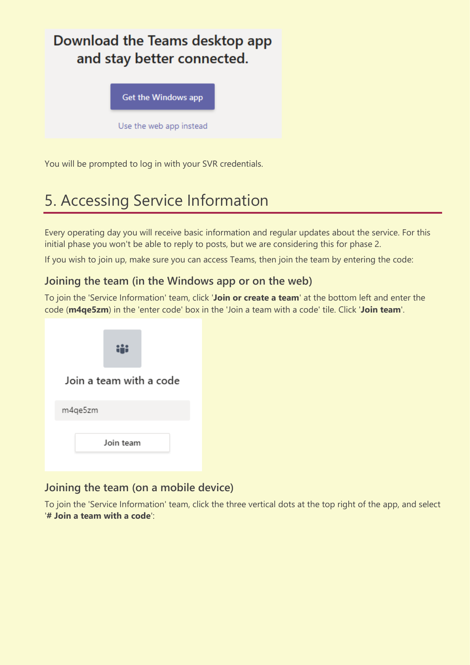### Download the Teams desktop app and stay better connected.

Get the Windows app

Use the web app instead

You will be prompted to log in with your SVR credentials.

## 5. Accessing Service Information

Every operating day you will receive basic information and regular updates about the service. For this initial phase you won't be able to reply to posts, but we are considering this for phase 2.

If you wish to join up, make sure you can access Teams, then join the team by entering the code:

#### **Joining the team (in the Windows app or on the web)**

To join the 'Service Information' team, click '**Join or create a team**' at the bottom left and enter the code (**m4qe5zm**) in the 'enter code' box in the 'Join a team with a code' tile. Click '**Join team**'.

| Join a team with a code |
|-------------------------|
| m4qe5zm                 |
| Join team               |

#### **Joining the team (on a mobile device)**

To join the 'Service Information' team, click the three vertical dots at the top right of the app, and select '**# Join a team with a code**':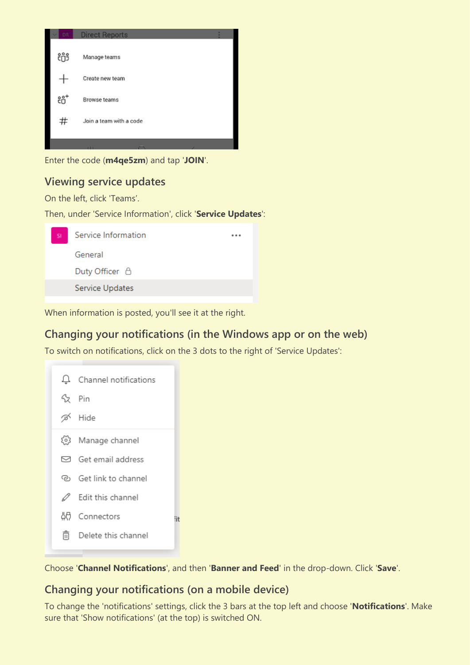

Enter the code (**m4qe5zm**) and tap '**JOIN**'.

#### **Viewing service updates**

On the left, click 'Teams'.

Then, under 'Service Information', click '**Service Updates**':



When information is posted, you'll see it at the right.

#### **Changing your notifications (in the Windows app or on the web)**

To switch on notifications, click on the 3 dots to the right of 'Service Updates':

|       | $\Box$ Channel notifications |
|-------|------------------------------|
| 公 Pin |                              |
|       | ⊗ Hide                       |
|       | (o) Manage channel           |
|       | $\boxdot$ Get email address  |
|       | ලා Get link to channel       |
| ∥     | Edit this channel            |
|       | An Connectors                |
| m     | Delete this channel          |

Choose '**Channel Notifications**', and then '**Banner and Feed**' in the drop-down. Click '**Save**'.

#### **Changing your notifications (on a mobile device)**

fit

To change the 'notifications' settings, click the 3 bars at the top left and choose '**Notifications**'. Make sure that 'Show notifications' (at the top) is switched ON.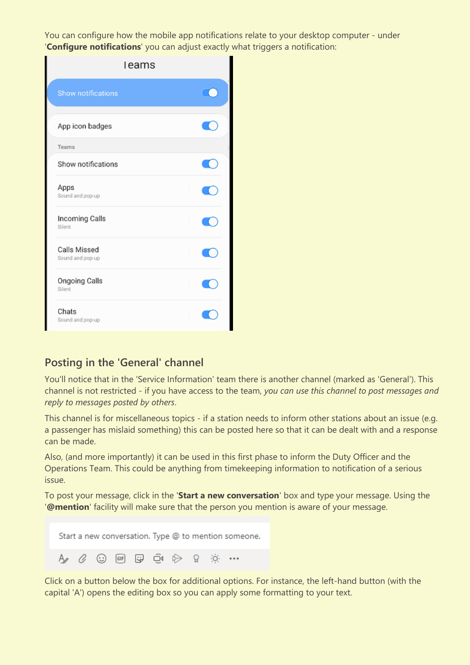You can configure how the mobile app notifications relate to your desktop computer - under '**Configure notifications**' you can adjust exactly what triggers a notification:

| leams                            |  |
|----------------------------------|--|
| <b>Show notifications</b>        |  |
| App icon badges                  |  |
| Teams                            |  |
| Show notifications               |  |
| Apps<br>Sound and pop-up         |  |
| Incoming Calls<br>Silent         |  |
| Calls Missed<br>Sound and pop-up |  |
| Ongoing Calls<br>Silent          |  |
| Chats<br>Sound and pop-up        |  |

#### **Posting in the 'General' channel**

You'll notice that in the 'Service Information' team there is another channel (marked as 'General'). This channel is not restricted - if you have access to the team, *you can use this channel to post messages and reply to messages posted by others*.

This channel is for miscellaneous topics - if a station needs to inform other stations about an issue (e.g. a passenger has mislaid something) this can be posted here so that it can be dealt with and a response can be made.

Also, (and more importantly) it can be used in this first phase to inform the Duty Officer and the Operations Team. This could be anything from timekeeping information to notification of a serious issue.

To post your message, click in the '**Start a new conversation**' box and type your message. Using the '**@mention**' facility will make sure that the person you mention is aware of your message.

|  |  |  |  | Start a new conversation. Type @ to mention someone. |
|--|--|--|--|------------------------------------------------------|
|  |  |  |  |                                                      |

Click on a button below the box for additional options. For instance, the left-hand button (with the capital 'A') opens the editing box so you can apply some formatting to your text.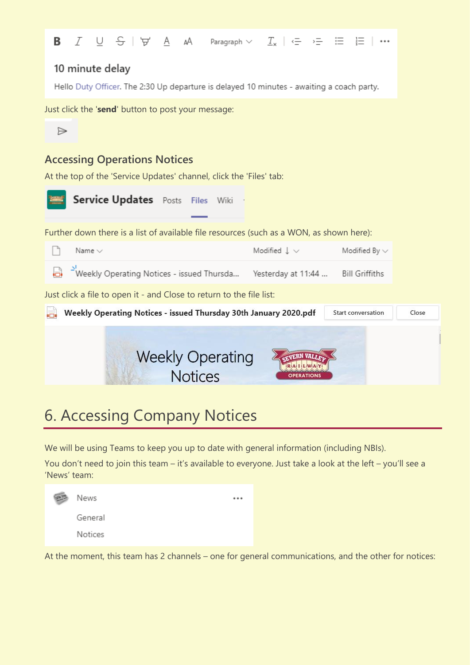

## 6. Accessing Company Notices

We will be using Teams to keep you up to date with general information (including NBIs).

You don't need to join this team – it's available to everyone. Just take a look at the left – you'll see a 'News' team:

| 四 | News    |  |
|---|---------|--|
|   | General |  |
|   | Notices |  |

At the moment, this team has 2 channels – one for general communications, and the other for notices: